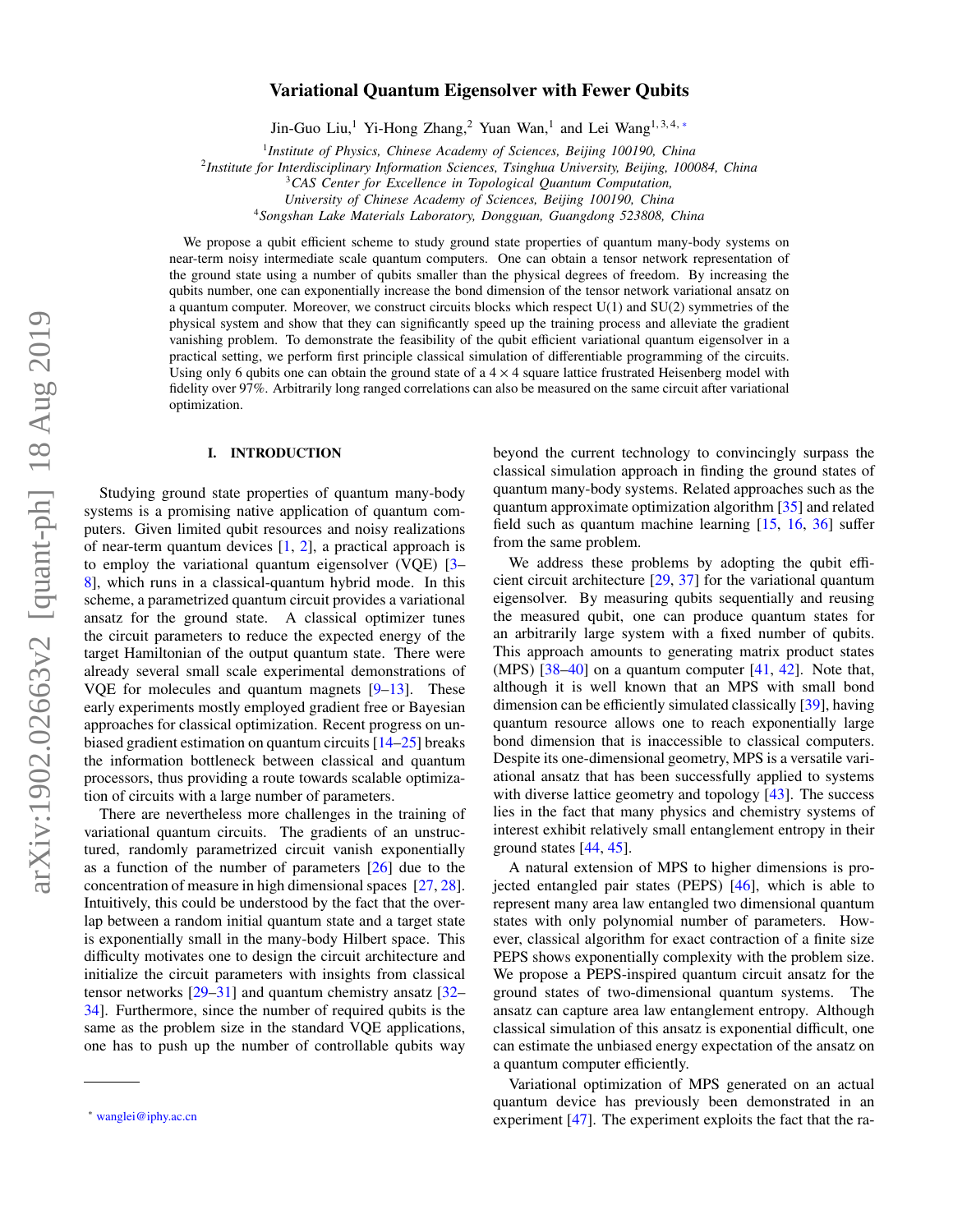# Variational Quantum Eigensolver with Fewer Qubits

Jin-Guo Liu,<sup>1</sup> Yi-Hong Zhang,<sup>2</sup> Yuan Wan,<sup>1</sup> and Lei Wang<sup>1,3,4,\*</sup>

1 *Institute of Physics, Chinese Academy of Sciences, Beijing 100190, China*

2 *Institute for Interdisciplinary Information Sciences, Tsinghua University, Beijing, 100084, China*

<sup>3</sup>*CAS Center for Excellence in Topological Quantum Computation,*

*University of Chinese Academy of Sciences, Beijing 100190, China*

<sup>4</sup>*Songshan Lake Materials Laboratory, Dongguan, Guangdong 523808, China*

We propose a qubit efficient scheme to study ground state properties of quantum many-body systems on near-term noisy intermediate scale quantum computers. One can obtain a tensor network representation of the ground state using a number of qubits smaller than the physical degrees of freedom. By increasing the qubits number, one can exponentially increase the bond dimension of the tensor network variational ansatz on a quantum computer. Moreover, we construct circuits blocks which respect U(1) and SU(2) symmetries of the physical system and show that they can significantly speed up the training process and alleviate the gradient vanishing problem. To demonstrate the feasibility of the qubit efficient variational quantum eigensolver in a practical setting, we perform first principle classical simulation of differentiable programming of the circuits. Using only 6 qubits one can obtain the ground state of a  $4 \times 4$  square lattice frustrated Heisenberg model with fidelity over 97%. Arbitrarily long ranged correlations can also be measured on the same circuit after variational optimization.

## I. INTRODUCTION

Studying ground state properties of quantum many-body systems is a promising native application of quantum computers. Given limited qubit resources and noisy realizations of near-term quantum devices  $[1, 2]$  $[1, 2]$  $[1, 2]$ , a practical approach is to employ the variational quantum eigensolver (VQE) [\[3–](#page-7-2) [8\]](#page-7-3), which runs in a classical-quantum hybrid mode. In this scheme, a parametrized quantum circuit provides a variational ansatz for the ground state. A classical optimizer tunes the circuit parameters to reduce the expected energy of the target Hamiltonian of the output quantum state. There were already several small scale experimental demonstrations of VQE for molecules and quantum magnets [\[9–](#page-7-4)[13\]](#page-7-5). These early experiments mostly employed gradient free or Bayesian approaches for classical optimization. Recent progress on unbiased gradient estimation on quantum circuits [\[14–](#page-7-6)[25\]](#page-7-7) breaks the information bottleneck between classical and quantum processors, thus providing a route towards scalable optimization of circuits with a large number of parameters.

There are nevertheless more challenges in the training of variational quantum circuits. The gradients of an unstructured, randomly parametrized circuit vanish exponentially as a function of the number of parameters  $[26]$  due to the concentration of measure in high dimensional spaces [\[27,](#page-8-0) [28\]](#page-8-1). Intuitively, this could be understood by the fact that the overlap between a random initial quantum state and a target state is exponentially small in the many-body Hilbert space. This difficulty motivates one to design the circuit architecture and initialize the circuit parameters with insights from classical tensor networks [\[29](#page-8-2)[–31\]](#page-8-3) and quantum chemistry ansatz [\[32–](#page-8-4) [34\]](#page-8-5). Furthermore, since the number of required qubits is the same as the problem size in the standard VQE applications, one has to push up the number of controllable qubits way

beyond the current technology to convincingly surpass the classical simulation approach in finding the ground states of quantum many-body systems. Related approaches such as the quantum approximate optimization algorithm [\[35\]](#page-8-6) and related field such as quantum machine learning [\[15,](#page-7-9) [16,](#page-7-10) [36\]](#page-8-7) suffer from the same problem.

We address these problems by adopting the qubit efficient circuit architecture [\[29,](#page-8-2) [37\]](#page-8-8) for the variational quantum eigensolver. By measuring qubits sequentially and reusing the measured qubit, one can produce quantum states for an arbitrarily large system with a fixed number of qubits. This approach amounts to generating matrix product states (MPS)  $[38-40]$  $[38-40]$  on a quantum computer  $[41, 42]$  $[41, 42]$  $[41, 42]$ . Note that, although it is well known that an MPS with small bond dimension can be efficiently simulated classically [\[39\]](#page-8-13), having quantum resource allows one to reach exponentially large bond dimension that is inaccessible to classical computers. Despite its one-dimensional geometry, MPS is a versatile variational ansatz that has been successfully applied to systems with diverse lattice geometry and topology [\[43\]](#page-8-14). The success lies in the fact that many physics and chemistry systems of interest exhibit relatively small entanglement entropy in their ground states [\[44,](#page-8-15) [45\]](#page-8-16).

A natural extension of MPS to higher dimensions is projected entangled pair states (PEPS) [\[46\]](#page-8-17), which is able to represent many area law entangled two dimensional quantum states with only polynomial number of parameters. However, classical algorithm for exact contraction of a finite size PEPS shows exponentially complexity with the problem size. We propose a PEPS-inspired quantum circuit ansatz for the ground states of two-dimensional quantum systems. The ansatz can capture area law entanglement entropy. Although classical simulation of this ansatz is exponential difficult, one can estimate the unbiased energy expectation of the ansatz on a quantum computer efficiently.

Variational optimization of MPS generated on an actual quantum device has previously been demonstrated in an experiment [\[47\]](#page-8-18). The experiment exploits the fact that the ra-

<span id="page-0-0"></span><sup>∗</sup> [wanglei@iphy.ac.cn](mailto:wanglei@iphy.ac.cn)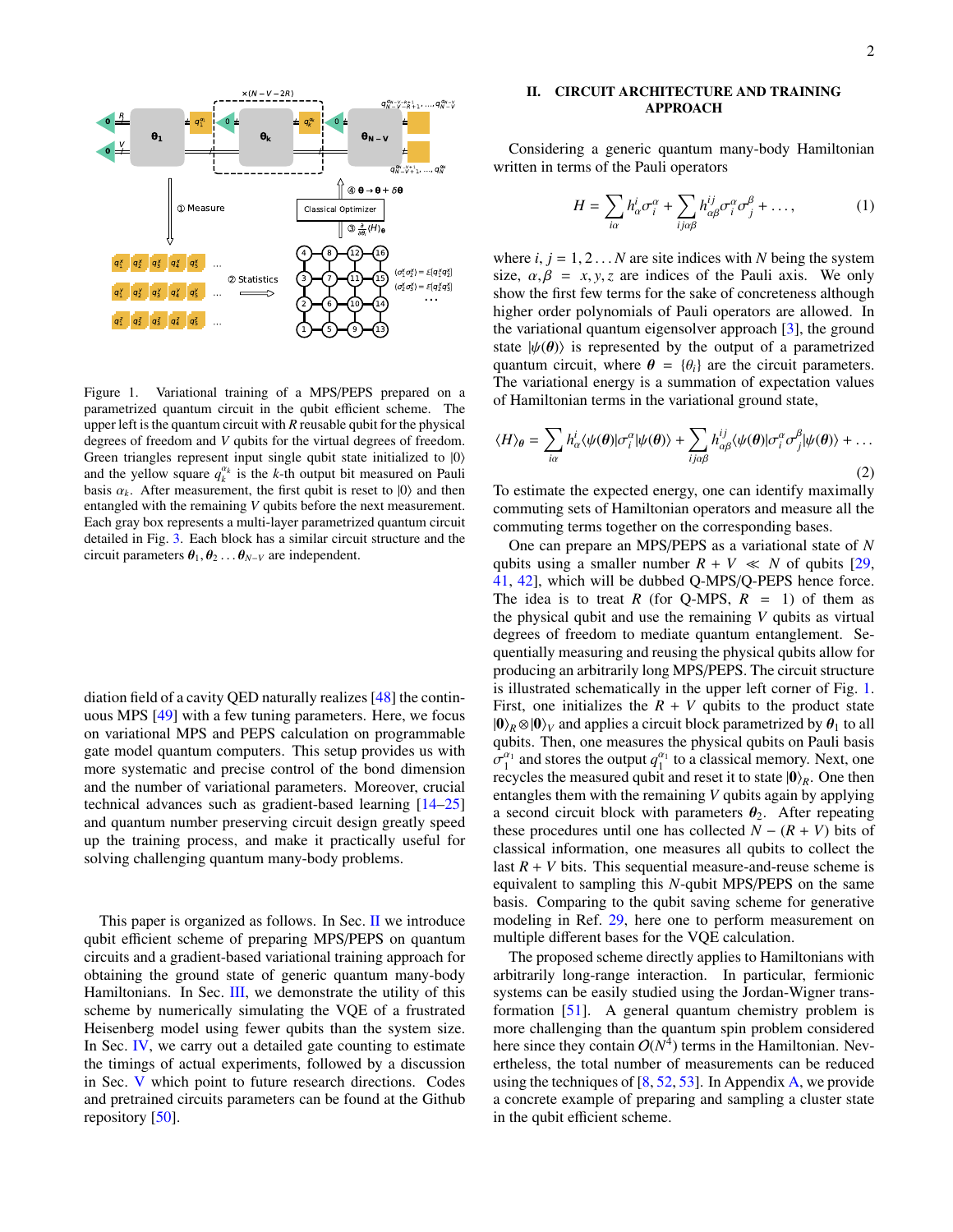

<span id="page-1-1"></span>Figure 1. Variational training of a MPS/PEPS prepared on a parametrized quantum circuit in the qubit efficient scheme. The upper left is the quantum circuit with *R* reusable qubit for the physical degrees of freedom and *V* qubits for the virtual degrees of freedom. Green triangles represent input single qubit state initialized to  $|0\rangle$ and the yellow square  $q_k^{\alpha_k}$  is the *k*-th output bit measured on Pauli basis  $\alpha_k$ . After measurement, the first qubit is reset to  $|0\rangle$  and then entangled with the remaining V qubits before the next measurement entangled with the remaining *V* qubits before the next measurement. Each gray box represents a multi-layer parametrized quantum circuit detailed in Fig. [3.](#page-3-0) Each block has a similar circuit structure and the circuit parameters  $\theta_1, \theta_2 \dots \theta_{N-V}$  are independent.

diation field of a cavity QED naturally realizes [\[48\]](#page-8-19) the continuous MPS [\[49\]](#page-8-20) with a few tuning parameters. Here, we focus on variational MPS and PEPS calculation on programmable gate model quantum computers. This setup provides us with more systematic and precise control of the bond dimension and the number of variational parameters. Moreover, crucial technical advances such as gradient-based learning [\[14–](#page-7-6)[25\]](#page-7-7) and quantum number preserving circuit design greatly speed up the training process, and make it practically useful for solving challenging quantum many-body problems.

This paper is organized as follows. In Sec. [II](#page-1-0) we introduce qubit efficient scheme of preparing MPS/PEPS on quantum circuits and a gradient-based variational training approach for obtaining the ground state of generic quantum many-body Hamiltonians. In Sec. [III,](#page-2-0) we demonstrate the utility of this scheme by numerically simulating the VQE of a frustrated Heisenberg model using fewer qubits than the system size. In Sec. [IV,](#page-5-0) we carry out a detailed gate counting to estimate the timings of actual experiments, followed by a discussion in Sec. [V](#page-7-11) which point to future research directions. Codes and pretrained circuits parameters can be found at the Github repository [\[50\]](#page-8-21).

# <span id="page-1-0"></span>II. CIRCUIT ARCHITECTURE AND TRAINING APPROACH

Considering a generic quantum many-body Hamiltonian written in terms of the Pauli operators

$$
H = \sum_{i\alpha} h^i_{\alpha} \sigma^{\alpha}_i + \sum_{ij\alpha\beta} h^{ij}_{\alpha\beta} \sigma^{\alpha}_i \sigma^{\beta}_j + \dots,
$$
 (1)

where  $i, j = 1, 2...N$  are site indices with *N* being the system size,  $\alpha, \beta = x, y, z$  are indices of the Pauli axis. We only show the first few terms for the sake of concreteness although higher order polynomials of Pauli operators are allowed. In the variational quantum eigensolver approach [\[3\]](#page-7-2), the ground state  $|\psi(\theta)\rangle$  is represented by the output of a parametrized quantum circuit, where  $\theta = {\theta_i}$  are the circuit parameters. The variational energy is a summation of expectation values of Hamiltonian terms in the variational ground state,

$$
\langle H \rangle_{\theta} = \sum_{i\alpha} h_{\alpha}^{i} \langle \psi(\theta) | \sigma_{i}^{\alpha} | \psi(\theta) \rangle + \sum_{i j \alpha \beta} h_{\alpha \beta}^{ij} \langle \psi(\theta) | \sigma_{i}^{\alpha} \sigma_{j}^{\beta} | \psi(\theta) \rangle + \dots
$$
\n(2)

To estimate the expected energy, one can identify maximally commuting sets of Hamiltonian operators and measure all the commuting terms together on the corresponding bases.

One can prepare an MPS/PEPS as a variational state of *N* qubits using a smaller number  $R + V \ll N$  of qubits [\[29,](#page-8-2) [41,](#page-8-11) [42\]](#page-8-12), which will be dubbed Q-MPS/Q-PEPS hence force. The idea is to treat *R* (for Q-MPS,  $R = 1$ ) of them as the physical qubit and use the remaining *V* qubits as virtual degrees of freedom to mediate quantum entanglement. Sequentially measuring and reusing the physical qubits allow for producing an arbitrarily long MPS/PEPS. The circuit structure is illustrated schematically in the upper left corner of Fig. [1.](#page-1-1) First, one initializes the  $R + V$  qubits to the product state  $|0\rangle_R \otimes |0\rangle_V$  and applies a circuit block parametrized by  $\theta_1$  to all qubits. Then, one measures the physical qubits on Pauli basis recycles the measured qubit and reset it to state  $|0\rangle_R$ . One then  $q_1^{\alpha_1}$  and stores the output  $q_1^{\alpha_1}$  to a classical memory. Next, one entangles them with the remaining *V* qubits again by applying a second circuit block with parameters  $\theta_2$ . After repeating these procedures until one has collected  $N - (R + V)$  bits of classical information, one measures all qubits to collect the last  $R + V$  bits. This sequential measure-and-reuse scheme is equivalent to sampling this *N*-qubit MPS/PEPS on the same basis. Comparing to the qubit saving scheme for generative modeling in Ref. [29,](#page-8-2) here one to perform measurement on multiple different bases for the VQE calculation.

The proposed scheme directly applies to Hamiltonians with arbitrarily long-range interaction. In particular, fermionic systems can be easily studied using the Jordan-Wigner transformation [\[51\]](#page-8-22). A general quantum chemistry problem is more challenging than the quantum spin problem considered here since they contain  $O(N^4)$  terms in the Hamiltonian. Nevertheless, the total number of measurements can be reduced using the techniques of  $[8, 52, 53]$  $[8, 52, 53]$  $[8, 52, 53]$  $[8, 52, 53]$  $[8, 52, 53]$ . In Appendix [A,](#page-9-0) we provide a concrete example of preparing and sampling a cluster state in the qubit efficient scheme.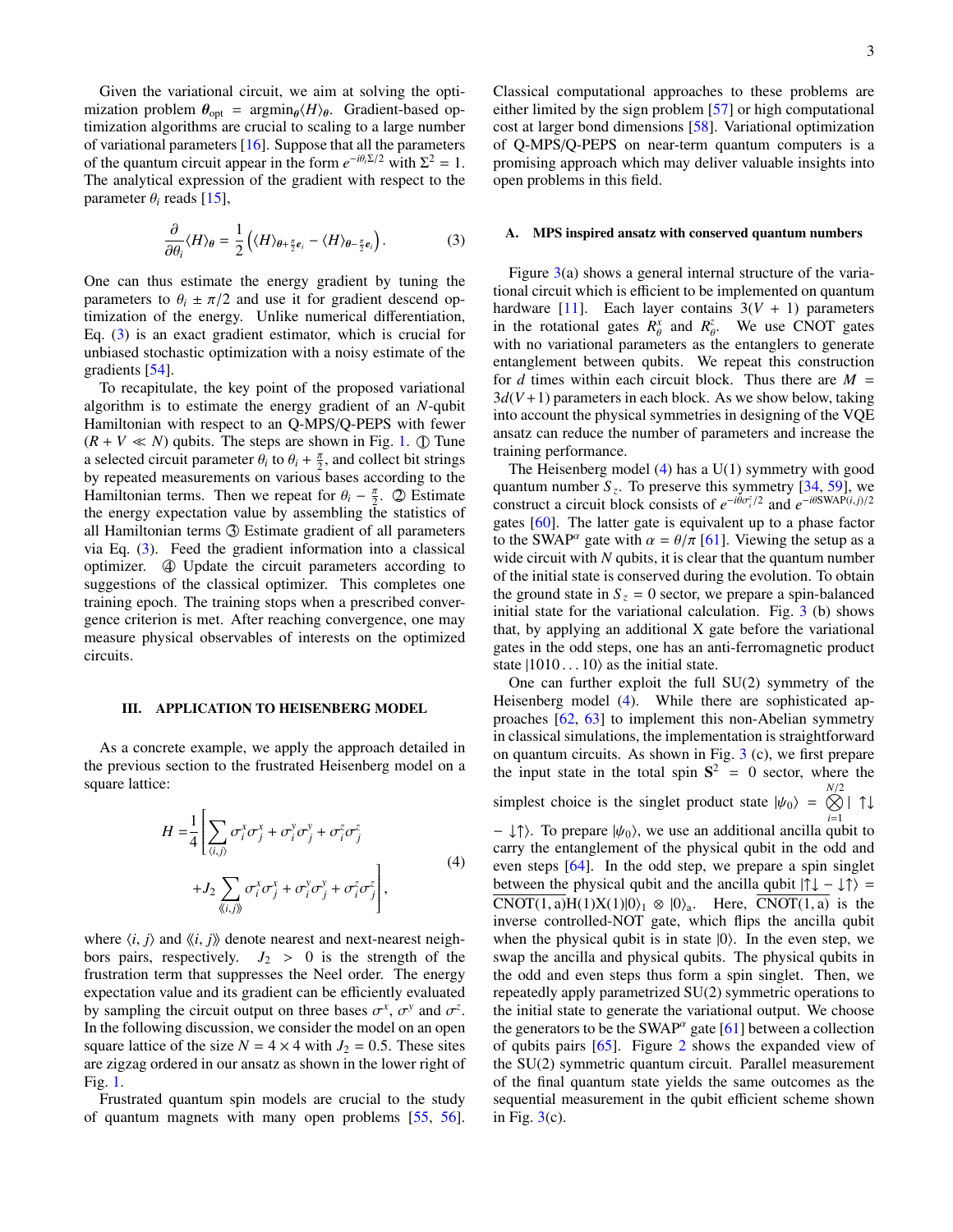Given the variational circuit, we aim at solving the optimization problem  $\theta_{opt} = \arg \min_{\theta} \langle H \rangle_{\theta}$ . Gradient-based op-<br>*timization algorithms are crucial to scaling to a large number* timization algorithms are crucial to scaling to a large number of variational parameters [\[16\]](#page-7-10). Suppose that all the parameters of the quantum circuit appear in the form  $e^{-i\theta_i \Sigma/2}$  with  $\Sigma^2 = 1$ . The analytical expression of the gradient with respect to the parameter  $\theta_i$  reads [\[15\]](#page-7-9),

<span id="page-2-1"></span>
$$
\frac{\partial}{\partial \theta_i} \langle H \rangle_{\theta} = \frac{1}{2} \left( \langle H \rangle_{\theta + \frac{\pi}{2} e_i} - \langle H \rangle_{\theta - \frac{\pi}{2} e_i} \right). \tag{3}
$$

One can thus estimate the energy gradient by tuning the parameters to  $\theta_i \pm \pi/2$  and use it for gradient descend optimization of the energy. Unlike numerical differentiation, Eq. [\(3\)](#page-2-1) is an exact gradient estimator, which is crucial for unbiased stochastic optimization with a noisy estimate of the gradients [\[54\]](#page-8-25).

To recapitulate, the key point of the proposed variational algorithm is to estimate the energy gradient of an *N*-qubit Hamiltonian with respect to an Q-MPS/Q-PEPS with fewer  $(R + V \ll N)$  qubits. The steps are shown in Fig. [1.](#page-1-1)  $\oplus$  Tune a selected circuit parameter  $\theta_i$  to  $\theta_i + \frac{\pi}{2}$ , and collect bit strings<br>by repeated measurements on various bases according to the by repeated measurements on various bases according to the Hamiltonian terms. Then we repeat for  $\theta_i - \frac{\pi}{2}$ .  $\oslash$  Estimate<br>the energy expectation value by assembling the statistics of the energy expectation value by assembling the statistics of all Hamiltonian terms 3 Estimate gradient of all parameters via Eq. [\(3\)](#page-2-1). Feed the gradient information into a classical optimizer. 4 Update the circuit parameters according to suggestions of the classical optimizer. This completes one training epoch. The training stops when a prescribed convergence criterion is met. After reaching convergence, one may measure physical observables of interests on the optimized circuits.

### <span id="page-2-0"></span>III. APPLICATION TO HEISENBERG MODEL

As a concrete example, we apply the approach detailed in the previous section to the frustrated Heisenberg model on a square lattice:

$$
H = \frac{1}{4} \left[ \sum_{\langle i,j \rangle} \sigma_i^x \sigma_j^x + \sigma_i^y \sigma_j^y + \sigma_i^z \sigma_j^z + J_2 \sum_{\langle \langle i,j \rangle \rangle} \sigma_i^x \sigma_j^x + \sigma_i^y \sigma_j^y + \sigma_i^z \sigma_j^z \right],
$$
\n
$$
(4)
$$

where  $\langle i, j \rangle$  and  $\langle \langle i, j \rangle$  denote nearest and next-nearest neighbors pairs, respectively.  $J_2 > 0$  is the strength of the frustration term that suppresses the Neel order. The energy expectation value and its gradient can be efficiently evaluated by sampling the circuit output on three bases  $\sigma^x$ ,  $\sigma^y$  and  $\sigma^z$ .<br>In the following discussion, we consider the model on an open In the following discussion, we consider the model on an open square lattice of the size  $N = 4 \times 4$  with  $J_2 = 0.5$ . These sites are zigzag ordered in our ansatz as shown in the lower right of Fig. [1.](#page-1-1)

Frustrated quantum spin models are crucial to the study of quantum magnets with many open problems [\[55,](#page-8-26) [56\]](#page-8-27). Classical computational approaches to these problems are either limited by the sign problem [\[57\]](#page-8-28) or high computational cost at larger bond dimensions [\[58\]](#page-8-29). Variational optimization of Q-MPS/Q-PEPS on near-term quantum computers is a promising approach which may deliver valuable insights into open problems in this field.

#### A. MPS inspired ansatz with conserved quantum numbers

Figure  $3(a)$  $3(a)$  shows a general internal structure of the variational circuit which is efficient to be implemented on quantum hardware [\[11\]](#page-7-12). Each layer contains  $3(V + 1)$  parameters in the rotational gates  $R_A^x$  and  $R_A^z$ . We use CNOT gates with no variational parameters as the entanglers to generate entanglement between qubits. We repeat this construction for *d* times within each circuit block. Thus there are  $M =$  $3d(V+1)$  parameters in each block. As we show below, taking into account the physical symmetries in designing of the VQE ansatz can reduce the number of parameters and increase the training performance.

The Heisenberg model  $(4)$  has a U(1) symmetry with good quantum number  $S_z$ . To preserve this symmetry  $[34, 59]$  $[34, 59]$  $[34, 59]$ , we construct a circuit block consists of  $e^{-i\theta \sigma_i^2/2}$  and  $e^{-i\theta \text{SWAP}(i,j)/2}$ gates [\[60\]](#page-8-31). The latter gate is equivalent up to a phase factor to the SWAP<sup> $\alpha$ </sup> gate with  $\alpha = \theta/\pi$  [\[61\]](#page-8-32). Viewing the setup as a wide circuit with N qubits it is clear that the quantum number wide circuit with *N* qubits, it is clear that the quantum number of the initial state is conserved during the evolution. To obtain the ground state in  $S_z = 0$  sector, we prepare a spin-balanced initial state for the variational calculation. Fig. [3](#page-3-0) (b) shows that, by applying an additional X gate before the variational gates in the odd steps, one has an anti-ferromagnetic product state  $|1010...10\rangle$  as the initial state.

One can further exploit the full SU(2) symmetry of the Heisenberg model [\(4\)](#page-2-2). While there are sophisticated approaches [\[62,](#page-8-33) [63\]](#page-8-34) to implement this non-Abelian symmetry in classical simulations, the implementation is straightforward on quantum circuits. As shown in Fig.  $3$  (c), we first prepare the input state in the total spin  $S^2 = 0$  sector, where the simplest choice is the singlet product state  $|\psi_0\rangle = \bigotimes_{i=1}^{N/2} |\uparrow \downarrow$ 

<span id="page-2-2"></span> $\downarrow$  + ↓↑). To prepare  $|\psi_0\rangle$ , we use an additional ancilla qubit to carry the entanglement of the physical qubit in the odd and carry the entanglement of the physical qubit in the odd and even steps [\[64\]](#page-8-35). In the odd step, we prepare a spin singlet between the physical qubit and the ancilla qubit  $|\uparrow\downarrow - \downarrow\uparrow\rangle$  = CNOT(1, a)H(1)X(1)|0)<sub>1</sub> ⊗ |0)<sub>a</sub>. Here, CNOT(1, a) is the inverse controlled-NOT gate, which flips the ancilla qubit when the physical qubit is in state  $|0\rangle$ . In the even step, we swap the ancilla and physical qubits. The physical qubits in the odd and even steps thus form a spin singlet. Then, we repeatedly apply parametrized SU(2) symmetric operations to the initial state to generate the variational output. We choose the generators to be the SWAP $^{\alpha}$  gate [\[61\]](#page-8-32) between a collection of qubits pairs [\[65\]](#page-8-36). Figure [2](#page-3-1) shows the expanded view of the SU(2) symmetric quantum circuit. Parallel measurement of the final quantum state yields the same outcomes as the sequential measurement in the qubit efficient scheme shown in Fig.  $3(c)$  $3(c)$ .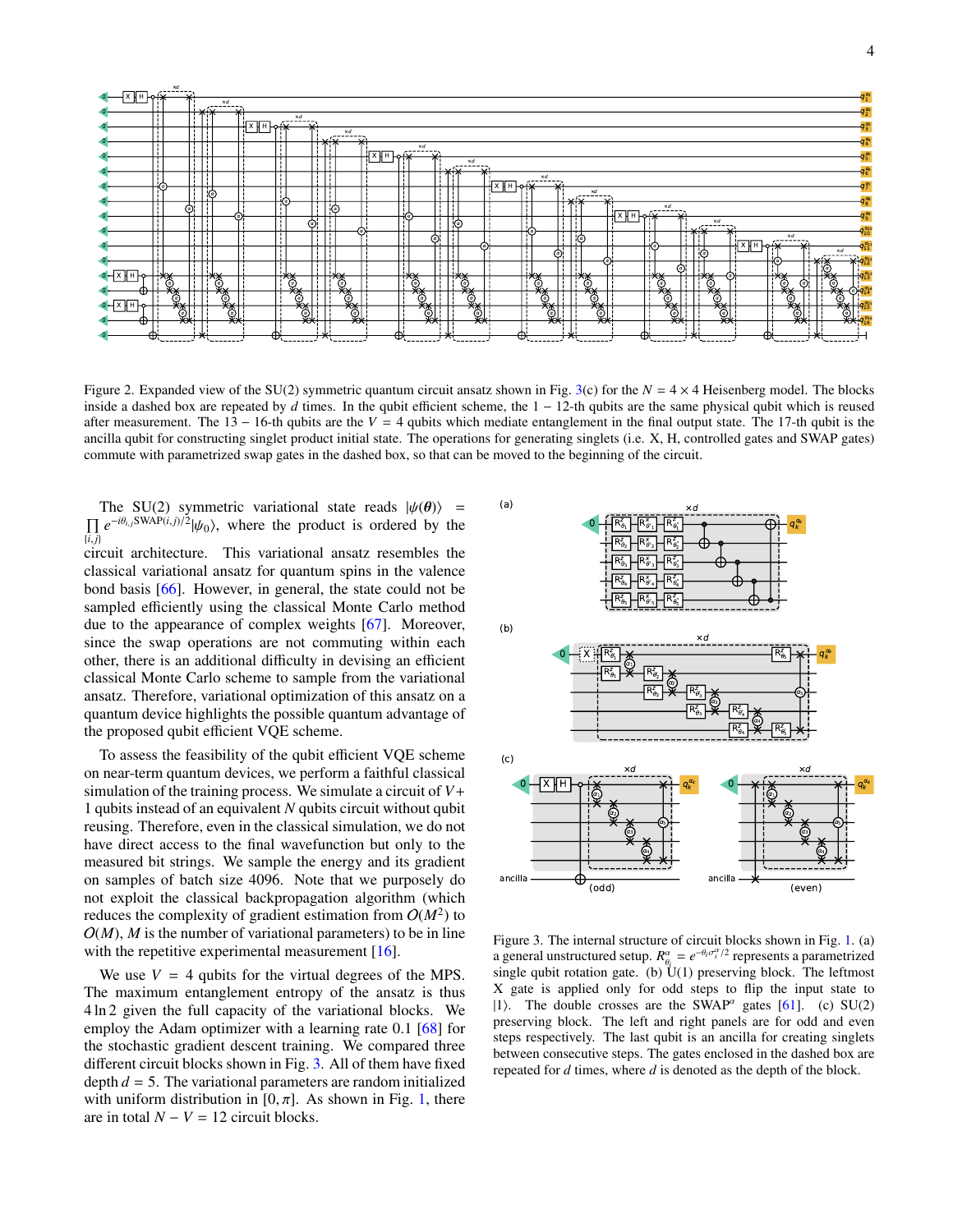

<span id="page-3-1"></span>Figure 2. Expanded view of the SU(2) symmetric quantum circuit ansatz shown in Fig. [3\(](#page-3-0)c) for the  $N = 4 \times 4$  Heisenberg model. The blocks inside a dashed box are repeated by *d* times. In the qubit efficient scheme, the 1 − 12-th qubits are the same physical qubit which is reused after measurement. The 13 – 16-th qubits are the  $V = 4$  qubits which mediate entanglement in the final output state. The 17-th qubit is the ancilla qubit for constructing singlet product initial state. The operations for generating singlets (i.e. X, H, controlled gates and SWAP gates) commute with parametrized swap gates in the dashed box, so that can be moved to the beginning of the circuit.

 $\Pi$ The SU(2) symmetric variational state reads  $|\psi(\theta)\rangle$  =  $\{i, j\}$ *e*  $-\frac{i\theta_{i,j}SWAP(i,j)/2}{\psi_0}$ , where the product is ordered by the

circuit architecture. This variational ansatz resembles the classical variational ansatz for quantum spins in the valence bond basis [\[66\]](#page-8-37). However, in general, the state could not be sampled efficiently using the classical Monte Carlo method due to the appearance of complex weights [\[67\]](#page-8-38). Moreover, since the swap operations are not commuting within each other, there is an additional difficulty in devising an efficient classical Monte Carlo scheme to sample from the variational ansatz. Therefore, variational optimization of this ansatz on a quantum device highlights the possible quantum advantage of the proposed qubit efficient VQE scheme.

To assess the feasibility of the qubit efficient VQE scheme on near-term quantum devices, we perform a faithful classical simulation of the training process. We simulate a circuit of *V*+ 1 qubits instead of an equivalent *N* qubits circuit without qubit reusing. Therefore, even in the classical simulation, we do not have direct access to the final wavefunction but only to the measured bit strings. We sample the energy and its gradient on samples of batch size 4096. Note that we purposely do not exploit the classical backpropagation algorithm (which reduces the complexity of gradient estimation from  $O(M^2)$  to  $O(M)$ , *M* is the number of variational parameters) to be in line with the repetitive experimental measurement [\[16\]](#page-7-10).

We use  $V = 4$  qubits for the virtual degrees of the MPS. The maximum entanglement entropy of the ansatz is thus 4 ln 2 given the full capacity of the variational blocks. We employ the Adam optimizer with a learning rate 0.1 [\[68\]](#page-8-39) for the stochastic gradient descent training. We compared three different circuit blocks shown in Fig. [3.](#page-3-0) All of them have fixed depth  $d = 5$ . The variational parameters are random initialized with uniform distribution in [0, $\pi$ ]. As shown in Fig. [1,](#page-1-1) there are in total  $N - V = 12$  circuit blocks.



<span id="page-3-0"></span>Figure 3. The internal structure of circuit blocks shown in Fig. [1.](#page-1-1) (a) a general unstructured setup.  $R^{\alpha}_{\theta_i} = e^{-\theta_i \sigma^{\alpha}_i/2}$  represents a parametrized single qubit rotation gate. (b)  $U(1)$  preserving block. The leftmost X gate is applied only for odd steps to flip the input state to  $|1\rangle$ . The double crosses are the SWAP<sup>a</sup> gates [\[61\]](#page-8-32). (c) SU(2) preserving block. The left and right panels are for odd and even steps respectively. The last qubit is an ancilla for creating singlets between consecutive steps. The gates enclosed in the dashed box are repeated for *d* times, where *d* is denoted as the depth of the block.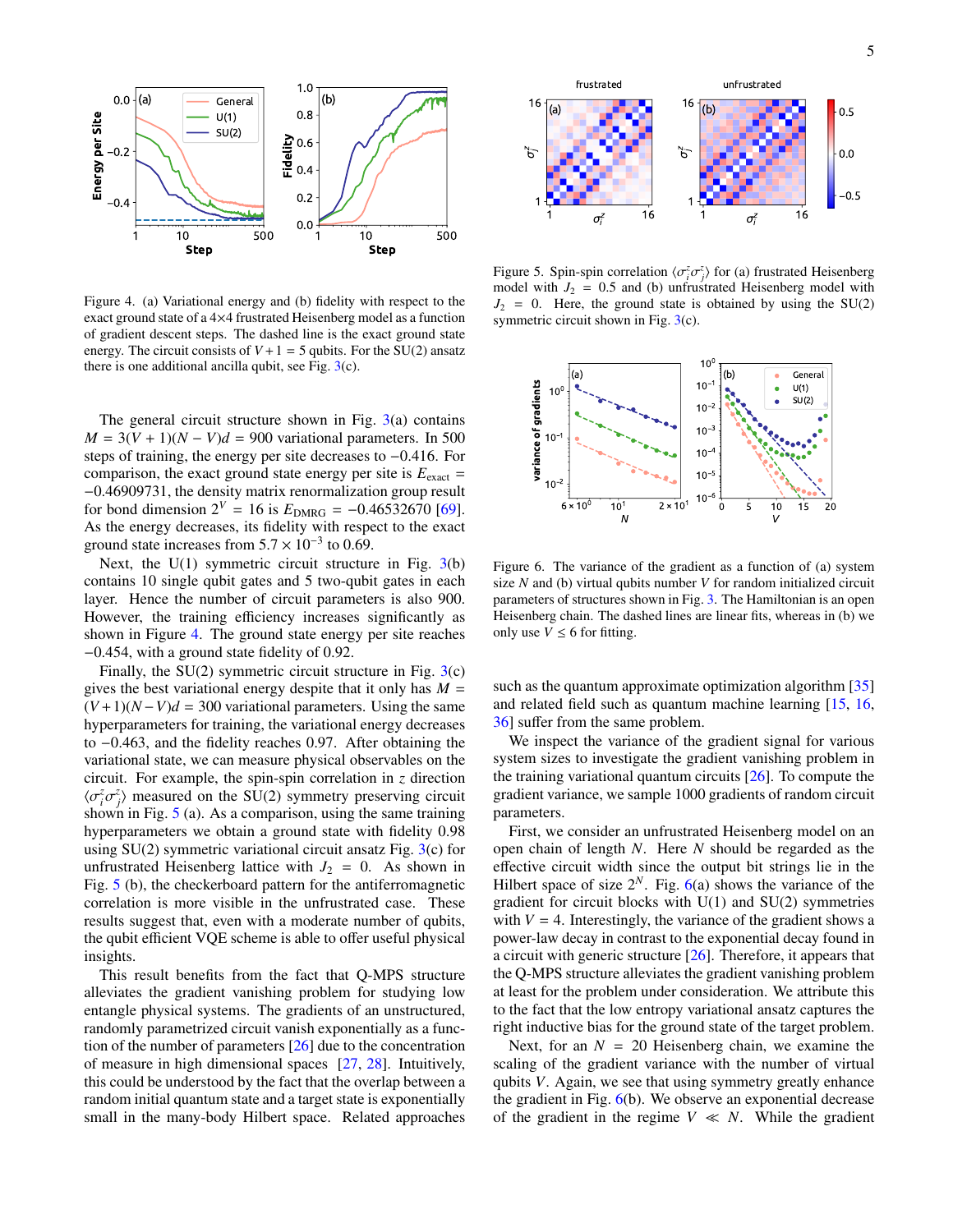

<span id="page-4-0"></span>Figure 4. (a) Variational energy and (b) fidelity with respect to the exact ground state of a 4×4 frustrated Heisenberg model as a function of gradient descent steps. The dashed line is the exact ground state energy. The circuit consists of  $V + 1 = 5$  qubits. For the SU(2) ansatz there is one additional ancilla qubit, see Fig.  $3(c)$  $3(c)$ .

The general circuit structure shown in Fig.  $3(a)$  $3(a)$  contains  $M = 3(V + 1)(N - V)d = 900$  variational parameters. In 500 steps of training, the energy per site decreases to <sup>−</sup>0.416. For comparison, the exact ground state energy per site is  $E_{\text{exact}} =$ <sup>−</sup>0.46909731, the density matrix renormalization group result for bond dimension  $2^V = 16$  is  $E_{\text{DMRG}} = -0.46532670$  [\[69\]](#page-8-40). As the energy decreases, its fidelity with respect to the exact ground state increases from  $5.7 \times 10^{-3}$  to 0.69.<br>Next, the U(1) symmetric circuit structure

Next, the  $U(1)$  symmetric circuit structure in Fig.  $3(b)$  $3(b)$ contains 10 single qubit gates and 5 two-qubit gates in each layer. Hence the number of circuit parameters is also 900. However, the training efficiency increases significantly as shown in Figure [4.](#page-4-0) The ground state energy per site reaches <sup>−</sup>0.454, with a ground state fidelity of 0.92.

Finally, the  $SU(2)$  symmetric circuit structure in Fig.  $3(c)$  $3(c)$ gives the best variational energy despite that it only has  $M =$  $(V+1)(N-V)d = 300$  variational parameters. Using the same hyperparameters for training, the variational energy decreases to <sup>−</sup>0.463, and the fidelity reaches 0.97. After obtaining the variational state, we can measure physical observables on the circuit. For example, the spin-spin correlation in *z* direction  $\langle \sigma_i^z \sigma_j^z \rangle$  measured on the SU(2) symmetry preserving circuit shown in Fig. 5.(a). As a comparison using the same training shown in Fig. [5](#page-4-1) (a). As a comparison, using the same training shown in Fig. 5 (a). As a comparison, using the same training hyperparameters we obtain a ground state with fidelity 0.<sup>98</sup> using  $SU(2)$  symmetric variational circuit ansatz Fig.  $3(c)$  $3(c)$  for unfrustrated Heisenberg lattice with  $J_2 = 0$ . As shown in Fig. [5](#page-4-1) (b), the checkerboard pattern for the antiferromagnetic correlation is more visible in the unfrustrated case. These results suggest that, even with a moderate number of qubits, the qubit efficient VQE scheme is able to offer useful physical insights.

This result benefits from the fact that Q-MPS structure alleviates the gradient vanishing problem for studying low entangle physical systems. The gradients of an unstructured, randomly parametrized circuit vanish exponentially as a function of the number of parameters [\[26\]](#page-7-8) due to the concentration of measure in high dimensional spaces [\[27,](#page-8-0) [28\]](#page-8-1). Intuitively, this could be understood by the fact that the overlap between a random initial quantum state and a target state is exponentially small in the many-body Hilbert space. Related approaches



<span id="page-4-1"></span>Figure 5. Spin-spin correlation  $\langle \sigma_i^z \sigma_j^z \rangle$  for (a) frustrated Heisenberg model with  $L_2 = 0.5$  and (b) unfrustrated Heisenberg model with in *J*<sub>2</sub> = 0.5 and (b) unfrustrated Heisenberg model with  $J_2$  = 0.5 and (b) unfrustrated Heisenberg model with  $J_6$  = 0. Here the ground state is obtained by using the SU(2)  $J_2$  = 0. Here, the ground state is obtained by using the SU(2) symmetric circuit shown in Fig.  $3(c)$  $3(c)$ .



<span id="page-4-2"></span>Figure 6. The variance of the gradient as a function of (a) system size *N* and (b) virtual qubits number *V* for random initialized circuit parameters of structures shown in Fig. [3.](#page-3-0) The Hamiltonian is an open Heisenberg chain. The dashed lines are linear fits, whereas in (b) we only use  $V \leq 6$  for fitting.

such as the quantum approximate optimization algorithm [\[35\]](#page-8-6) and related field such as quantum machine learning [\[15,](#page-7-9) [16,](#page-7-10) [36\]](#page-8-7) suffer from the same problem.

We inspect the variance of the gradient signal for various system sizes to investigate the gradient vanishing problem in the training variational quantum circuits  $[26]$ . To compute the gradient variance, we sample 1000 gradients of random circuit parameters.

First, we consider an unfrustrated Heisenberg model on an open chain of length *N*. Here *N* should be regarded as the effective circuit width since the output bit strings lie in the Hilbert space of size  $2^N$ . Fig.  $6(a)$  $6(a)$  shows the variance of the gradient for circuit blocks with U(1) and SU(2) symmetries with  $V = 4$ . Interestingly, the variance of the gradient shows a power-law decay in contrast to the exponential decay found in a circuit with generic structure [\[26\]](#page-7-8). Therefore, it appears that the Q-MPS structure alleviates the gradient vanishing problem at least for the problem under consideration. We attribute this to the fact that the low entropy variational ansatz captures the right inductive bias for the ground state of the target problem.

Next, for an  $N = 20$  Heisenberg chain, we examine the scaling of the gradient variance with the number of virtual qubits *V*. Again, we see that using symmetry greatly enhance the gradient in Fig. [6\(](#page-4-2)b). We observe an exponential decrease of the gradient in the regime  $V \ll N$ . While the gradient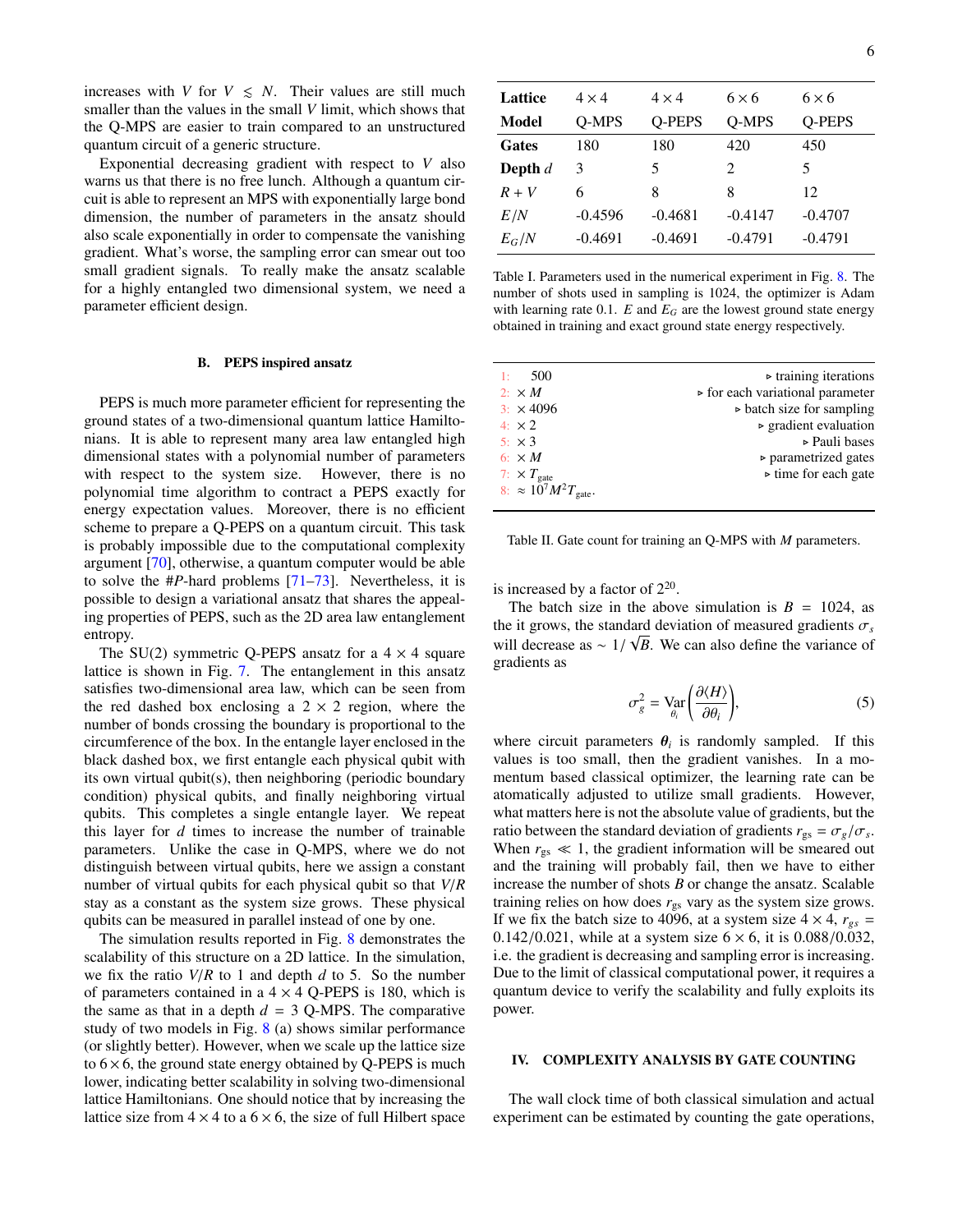increases with *V* for  $V \leq N$ . Their values are still much smaller than the values in the small *V* limit, which shows that the Q-MPS are easier to train compared to an unstructured quantum circuit of a generic structure.

Exponential decreasing gradient with respect to *V* also warns us that there is no free lunch. Although a quantum circuit is able to represent an MPS with exponentially large bond dimension, the number of parameters in the ansatz should also scale exponentially in order to compensate the vanishing gradient. What's worse, the sampling error can smear out too small gradient signals. To really make the ansatz scalable for a highly entangled two dimensional system, we need a parameter efficient design.

#### B. PEPS inspired ansatz

PEPS is much more parameter efficient for representing the ground states of a two-dimensional quantum lattice Hamiltonians. It is able to represent many area law entangled high dimensional states with a polynomial number of parameters with respect to the system size. However, there is no polynomial time algorithm to contract a PEPS exactly for energy expectation values. Moreover, there is no efficient scheme to prepare a Q-PEPS on a quantum circuit. This task is probably impossible due to the computational complexity argument [\[70\]](#page-8-41), otherwise, a quantum computer would be able to solve the #*P*-hard problems [\[71](#page-8-42)[–73\]](#page-8-43). Nevertheless, it is possible to design a variational ansatz that shares the appealing properties of PEPS, such as the 2D area law entanglement entropy.

The SU(2) symmetric Q-PEPS ansatz for a  $4 \times 4$  square lattice is shown in Fig. [7.](#page-6-0) The entanglement in this ansatz satisfies two-dimensional area law, which can be seen from the red dashed box enclosing a  $2 \times 2$  region, where the number of bonds crossing the boundary is proportional to the circumference of the box. In the entangle layer enclosed in the black dashed box, we first entangle each physical qubit with its own virtual qubit(s), then neighboring (periodic boundary condition) physical qubits, and finally neighboring virtual qubits. This completes a single entangle layer. We repeat this layer for *d* times to increase the number of trainable parameters. Unlike the case in Q-MPS, where we do not distinguish between virtual qubits, here we assign a constant number of virtual qubits for each physical qubit so that *<sup>V</sup>*/*<sup>R</sup>* stay as a constant as the system size grows. These physical qubits can be measured in parallel instead of one by one.

The simulation results reported in Fig. [8](#page-6-1) demonstrates the scalability of this structure on a 2D lattice. In the simulation, we fix the ratio  $V/R$  to 1 and depth *d* to 5. So the number of parameters contained in a  $4 \times 4$  Q-PEPS is 180, which is the same as that in a depth  $d = 3$  Q-MPS. The comparative study of two models in Fig. [8](#page-6-1) (a) shows similar performance (or slightly better). However, when we scale up the lattice size to  $6 \times 6$ , the ground state energy obtained by O-PEPS is much lower, indicating better scalability in solving two-dimensional lattice Hamiltonians. One should notice that by increasing the lattice size from  $4 \times 4$  to a  $6 \times 6$ , the size of full Hilbert space

| <b>Lattice</b> | $4 \times 4$ | $4 \times 4$  | $6 \times 6$ | $6 \times 6$  |
|----------------|--------------|---------------|--------------|---------------|
| Model          | Q-MPS        | <b>Q-PEPS</b> | Q-MPS        | <b>Q-PEPS</b> |
| <b>Gates</b>   | 180          | 180           | 420          | 450           |
| Depth $d$      | 3            | 5             | 2            | 5             |
| $R + V$        | 6            | 8             | 8            | 12            |
| E/N            | $-0.4596$    | $-0.4681$     | $-0.4147$    | $-0.4707$     |
| $E_G/N$        | $-0.4691$    | $-0.4691$     | $-0.4791$    | $-0.4791$     |

<span id="page-5-1"></span>Table I. Parameters used in the numerical experiment in Fig. [8.](#page-6-1) The number of shots used in sampling is 1024, the optimizer is Adam with learning rate 0.1.  $E$  and  $E_G$  are the lowest ground state energy obtained in training and exact ground state energy respectively.

| 1: $500$                                | $\triangleright$ training iterations            |
|-----------------------------------------|-------------------------------------------------|
| 2: $\times M$                           | $\triangleright$ for each variational parameter |
| $3: \times 4096$                        | $\triangleright$ batch size for sampling        |
| $4: \times 2$                           | $\triangleright$ gradient evaluation            |
| $5: \times 3$                           | ► Pauli bases                                   |
| 6: $\times M$                           | $\triangleright$ parametrized gates             |
| 7: $\times T_{\text{gate}}$             | $\triangleright$ time for each gate             |
| 8: $\approx 10^7 M^2 T_{\text{gate}}$ . |                                                 |

<span id="page-5-2"></span>Table II. Gate count for training an Q-MPS with *M* parameters.

is increased by a factor of  $2^{20}$ .

The batch size in the above simulation is  $B = 1024$ , as the it grows, the standard deviation of measured gradients  $\sigma_s$ <br>will decrease as  $\sim 1/\sqrt{R}$ . We can also define the variance of will decrease as  $\sim 1/\sqrt{B}$ . We can also define the variance of gradients as gradients as

$$
\sigma_g^2 = \text{Var}_{\theta_i} \left( \frac{\partial \langle H \rangle}{\partial \theta_i} \right),\tag{5}
$$

where circuit parameters  $\theta_i$  is randomly sampled. If this values is too small, then the gradient vanishes. In a movalues is too small, then the gradient vanishes. In a momentum based classical optimizer, the learning rate can be atomatically adjusted to utilize small gradients. However, what matters here is not the absolute value of gradients, but the ratio between the standard deviation of gradients  $r_{gs} = \sigma_g/\sigma_s$ .<br>When  $r \ll 1$  the gradient information will be smeared out When  $r_{gs} \ll 1$ , the gradient information will be smeared out and the training will probably fail, then we have to either increase the number of shots *B* or change the ansatz. Scalable training relies on how does  $r_{gs}$  vary as the system size grows. If we fix the batch size to 4096, at a system size  $4 \times 4$ ,  $r_{gs}$  = 0.142/0.021, while at a system size  $6 \times 6$ , it is 0.088/0.032, i.e. the gradient is decreasing and sampling error is increasing. Due to the limit of classical computational power, it requires a quantum device to verify the scalability and fully exploits its power.

## <span id="page-5-0"></span>IV. COMPLEXITY ANALYSIS BY GATE COUNTING

The wall clock time of both classical simulation and actual experiment can be estimated by counting the gate operations,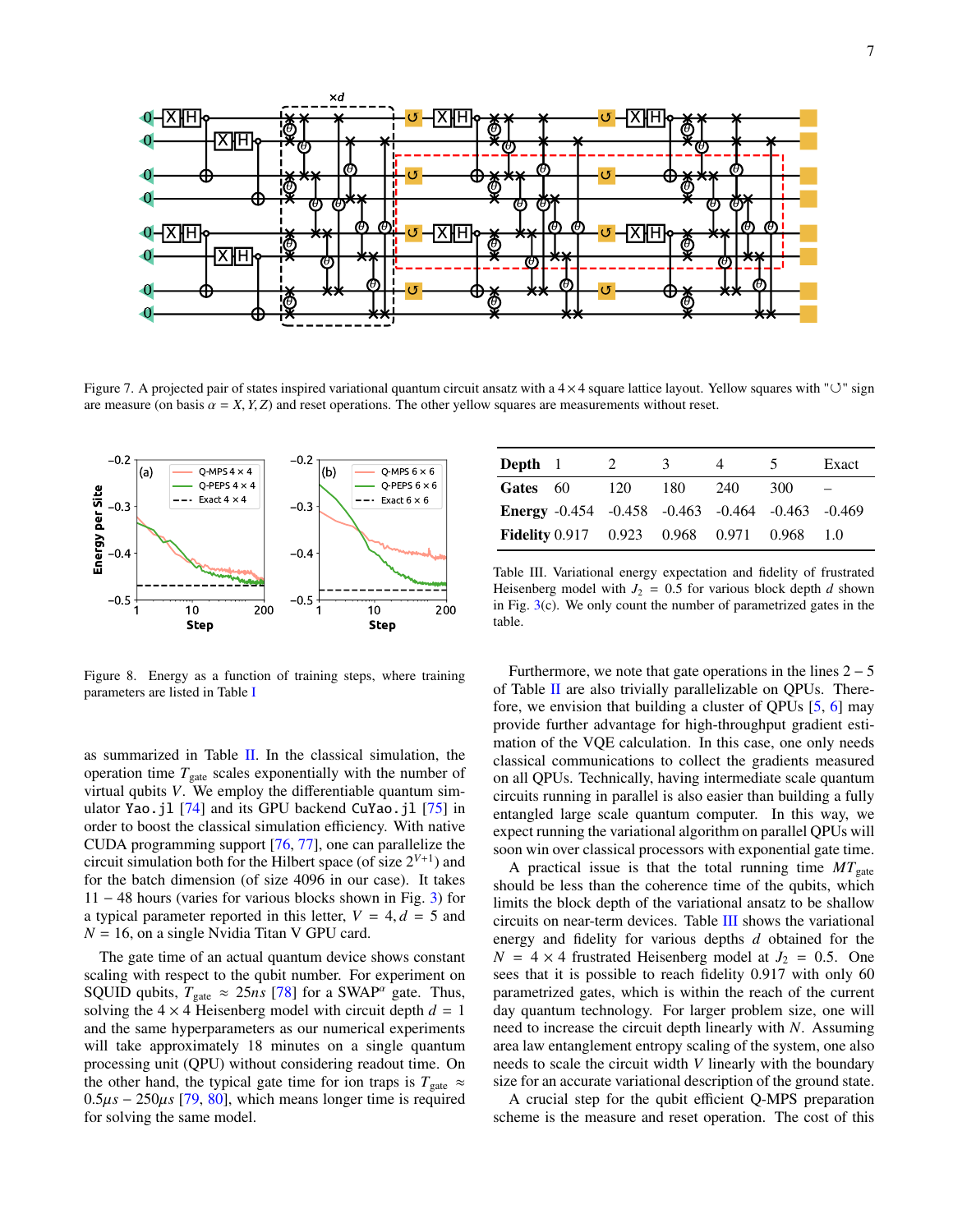

<span id="page-6-0"></span>Figure 7. A projected pair of states inspired variational quantum circuit ansatz with a  $4 \times 4$  square lattice layout. Yellow squares with " $\circ$ " sign are measure (on basis  $\alpha = X, Y, Z$ ) and reset operations. The other yellow squares are measurements without reset.



<span id="page-6-1"></span>Figure 8. Energy as a function of training steps, where training parameters are listed in Table [I](#page-5-1)

as summarized in Table [II.](#page-5-2) In the classical simulation, the operation time  $T_{gate}$  scales exponentially with the number of virtual qubits *V*. We employ the differentiable quantum simulator Yao.jl [\[74\]](#page-8-44) and its GPU backend CuYao.jl [\[75\]](#page-8-45) in order to boost the classical simulation efficiency. With native CUDA programming support [\[76,](#page-8-46) [77\]](#page-8-47), one can parallelize the circuit simulation both for the Hilbert space (of size  $2^{V+1}$ ) and for the batch dimension (of size 4096 in our case). It takes 11 − 48 hours (varies for various blocks shown in Fig. [3\)](#page-3-0) for a typical parameter reported in this letter,  $V = 4$ ,  $d = 5$  and  $N = 16$ , on a single Nvidia Titan V GPU card.

The gate time of an actual quantum device shows constant scaling with respect to the qubit number. For experiment on SQUID qubits,  $T_{\text{gate}} \approx 25ns$  [\[78\]](#page-8-48) for a SWAP<sup> $\alpha$ </sup> gate. Thus, solving the  $4 \times 4$  Heisenberg model with circuit depth  $d = 1$ and the same hyperparameters as our numerical experiments will take approximately 18 minutes on a single quantum processing unit (QPU) without considering readout time. On the other hand, the typical gate time for ion traps is  $T_{\text{gate}} \approx$  $0.5\mu s - 250\mu s$  [\[79,](#page-8-49) [80\]](#page-8-50), which means longer time is required for solving the same model.

| <b>Depth</b> 1 | 2                                             | 3    | 4   |                                                                     | Exact |
|----------------|-----------------------------------------------|------|-----|---------------------------------------------------------------------|-------|
| Gates 60       | - 120                                         | -180 | 240 | 300                                                                 |       |
|                |                                               |      |     | <b>Energy</b> $-0.454$ $-0.458$ $-0.463$ $-0.464$ $-0.463$ $-0.469$ |       |
|                | <b>Fidelity</b> 0.917 0.923 0.968 0.971 0.968 |      |     |                                                                     | 1.0   |

<span id="page-6-2"></span>Table III. Variational energy expectation and fidelity of frustrated Heisenberg model with  $J_2 = 0.5$  for various block depth  $d$  shown in Fig. [3\(](#page-3-0)c). We only count the number of parametrized gates in the table.

Furthermore, we note that gate operations in the lines  $2 - 5$ of Table [II](#page-5-2) are also trivially parallelizable on QPUs. Therefore, we envision that building a cluster of QPUs [\[5,](#page-7-13) [6\]](#page-7-14) may provide further advantage for high-throughput gradient estimation of the VQE calculation. In this case, one only needs classical communications to collect the gradients measured on all QPUs. Technically, having intermediate scale quantum circuits running in parallel is also easier than building a fully entangled large scale quantum computer. In this way, we expect running the variational algorithm on parallel QPUs will soon win over classical processors with exponential gate time.

A practical issue is that the total running time  $MT_{\text{gate}}$ should be less than the coherence time of the qubits, which limits the block depth of the variational ansatz to be shallow circuits on near-term devices. Table [III](#page-6-2) shows the variational energy and fidelity for various depths *d* obtained for the  $N = 4 \times 4$  frustrated Heisenberg model at  $J_2 = 0.5$ . One sees that it is possible to reach fidelity 0.917 with only 60 parametrized gates, which is within the reach of the current day quantum technology. For larger problem size, one will need to increase the circuit depth linearly with *N*. Assuming area law entanglement entropy scaling of the system, one also needs to scale the circuit width *V* linearly with the boundary size for an accurate variational description of the ground state.

A crucial step for the qubit efficient Q-MPS preparation scheme is the measure and reset operation. The cost of this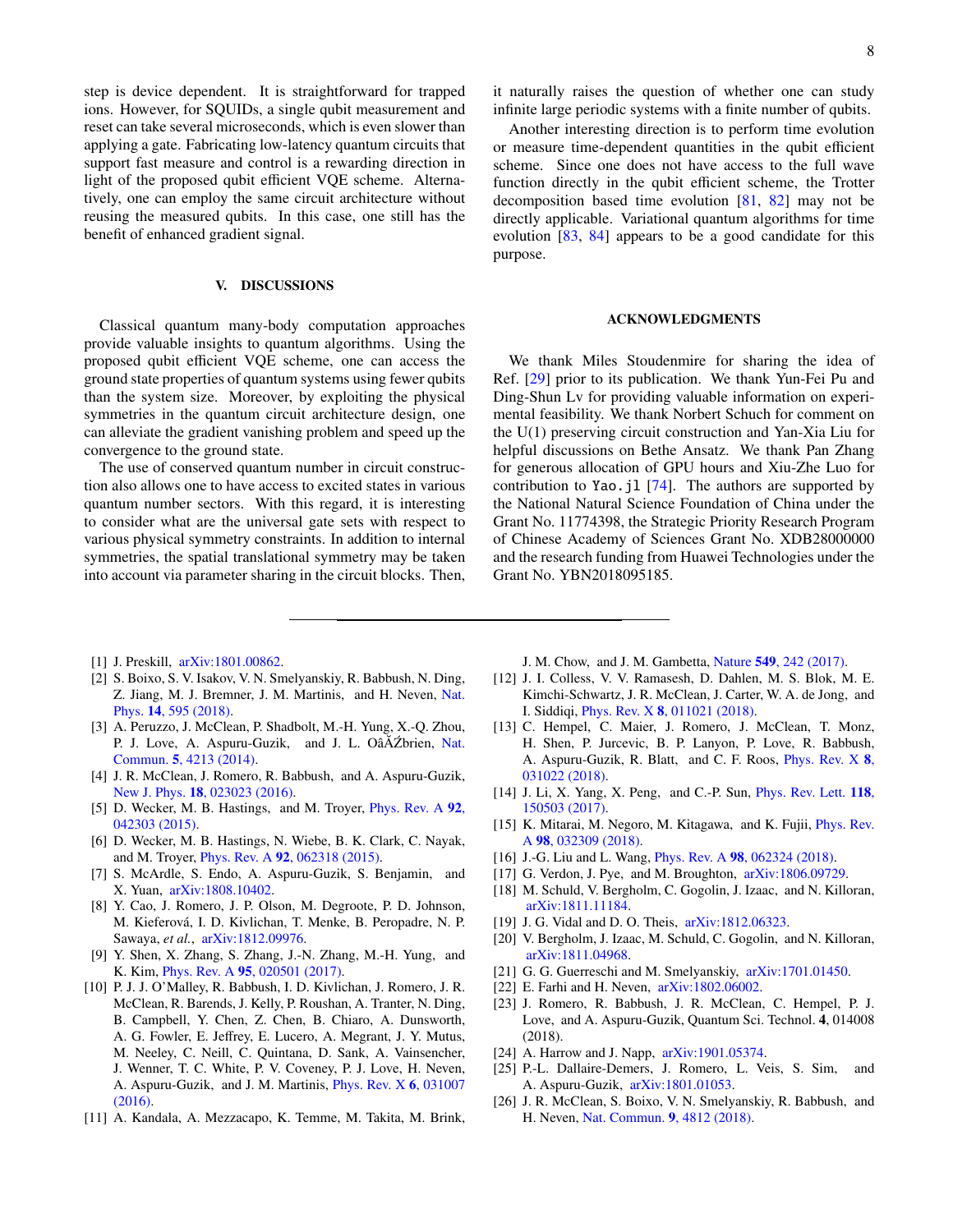step is device dependent. It is straightforward for trapped ions. However, for SQUIDs, a single qubit measurement and reset can take several microseconds, which is even slower than applying a gate. Fabricating low-latency quantum circuits that support fast measure and control is a rewarding direction in light of the proposed qubit efficient VQE scheme. Alternatively, one can employ the same circuit architecture without reusing the measured qubits. In this case, one still has the benefit of enhanced gradient signal.

## <span id="page-7-11"></span>V. DISCUSSIONS

Classical quantum many-body computation approaches provide valuable insights to quantum algorithms. Using the proposed qubit efficient VQE scheme, one can access the ground state properties of quantum systems using fewer qubits than the system size. Moreover, by exploiting the physical symmetries in the quantum circuit architecture design, one can alleviate the gradient vanishing problem and speed up the convergence to the ground state.

The use of conserved quantum number in circuit construction also allows one to have access to excited states in various quantum number sectors. With this regard, it is interesting to consider what are the universal gate sets with respect to various physical symmetry constraints. In addition to internal symmetries, the spatial translational symmetry may be taken into account via parameter sharing in the circuit blocks. Then, it naturally raises the question of whether one can study infinite large periodic systems with a finite number of qubits.

Another interesting direction is to perform time evolution or measure time-dependent quantities in the qubit efficient scheme. Since one does not have access to the full wave function directly in the qubit efficient scheme, the Trotter decomposition based time evolution [\[81,](#page-8-51) [82\]](#page-8-52) may not be directly applicable. Variational quantum algorithms for time evolution [\[83,](#page-8-53) [84\]](#page-8-54) appears to be a good candidate for this purpose.

### ACKNOWLEDGMENTS

We thank Miles Stoudenmire for sharing the idea of Ref. [\[29\]](#page-8-2) prior to its publication. We thank Yun-Fei Pu and Ding-Shun Lv for providing valuable information on experimental feasibility. We thank Norbert Schuch for comment on the U(1) preserving circuit construction and Yan-Xia Liu for helpful discussions on Bethe Ansatz. We thank Pan Zhang for generous allocation of GPU hours and Xiu-Zhe Luo for contribution to Yao.jl [\[74\]](#page-8-44). The authors are supported by the National Natural Science Foundation of China under the Grant No. 11774398, the Strategic Priority Research Program of Chinese Academy of Sciences Grant No. XDB28000000 and the research funding from Huawei Technologies under the Grant No. YBN2018095185.

- <span id="page-7-0"></span>[1] J. Preskill, [arXiv:1801.00862.](http://arxiv.org/abs/arXiv:1801.00862)
- <span id="page-7-1"></span>[2] S. Boixo, S. V. Isakov, V. N. Smelyanskiy, R. Babbush, N. Ding, Z. Jiang, M. J. Bremner, J. M. Martinis, and H. Neven, [Nat.](http://dx.doi.org/10.1038/s41567-018-0124-x) Phys. 14[, 595 \(2018\).](http://dx.doi.org/10.1038/s41567-018-0124-x)
- <span id="page-7-2"></span>[3] A. Peruzzo, J. McClean, P. Shadbolt, M.-H. Yung, X.-Q. Zhou, P. J. Love, A. Aspuru-Guzik, and J. L. Oâ $\Delta Z$ brien, [Nat.](https://www.nature.com/articles/ncomms5213) Commun. 5[, 4213 \(2014\).](https://www.nature.com/articles/ncomms5213)
- [4] J. R. McClean, J. Romero, R. Babbush, and A. Aspuru-Guzik, New J. Phys. 18[, 023023 \(2016\).](http://stacks.iop.org/1367-2630/18/i=2/a=023023)
- <span id="page-7-13"></span>[5] D. Wecker, M. B. Hastings, and M. Troyer, *[Phys. Rev. A](http://dx.doi.org/10.1103/PhysRevA.92.042303)* 92, [042303 \(2015\).](http://dx.doi.org/10.1103/PhysRevA.92.042303)
- <span id="page-7-14"></span>[6] D. Wecker, M. B. Hastings, N. Wiebe, B. K. Clark, C. Nayak, and M. Troyer, Phys. Rev. A 92[, 062318 \(2015\).](http://dx.doi.org/ 10.1103/PhysRevA.92.062318)
- [7] S. McArdle, S. Endo, A. Aspuru-Guzik, S. Benjamin, and X. Yuan, [arXiv:1808.10402.](http://arxiv.org/abs/arXiv:1808.10402)
- <span id="page-7-3"></span>[8] Y. Cao, J. Romero, J. P. Olson, M. Degroote, P. D. Johnson, M. Kieferová, I. D. Kivlichan, T. Menke, B. Peropadre, N. P. Sawaya, *et al.*, [arXiv:1812.09976.](http://arxiv.org/abs/arXiv:1812.09976)
- <span id="page-7-4"></span>[9] Y. Shen, X. Zhang, S. Zhang, J.-N. Zhang, M.-H. Yung, and K. Kim, Phys. Rev. A 95[, 020501 \(2017\).](http://dx.doi.org/ 10.1103/PhysRevA.95.020501)
- [10] P. J. J. O'Malley, R. Babbush, I. D. Kivlichan, J. Romero, J. R. McClean, R. Barends, J. Kelly, P. Roushan, A. Tranter, N. Ding, B. Campbell, Y. Chen, Z. Chen, B. Chiaro, A. Dunsworth, A. G. Fowler, E. Jeffrey, E. Lucero, A. Megrant, J. Y. Mutus, M. Neeley, C. Neill, C. Quintana, D. Sank, A. Vainsencher, J. Wenner, T. C. White, P. V. Coveney, P. J. Love, H. Neven, A. Aspuru-Guzik, and J. M. Martinis, [Phys. Rev. X](http://dx.doi.org/ 10.1103/PhysRevX.6.031007) 6, 031007 [\(2016\).](http://dx.doi.org/ 10.1103/PhysRevX.6.031007)
- <span id="page-7-12"></span>[11] A. Kandala, A. Mezzacapo, K. Temme, M. Takita, M. Brink,

J. M. Chow, and J. M. Gambetta, Nature 549[, 242 \(2017\).](https://www.nature.com/articles/nature23879)

- [12] J. I. Colless, V. V. Ramasesh, D. Dahlen, M. S. Blok, M. E. Kimchi-Schwartz, J. R. McClean, J. Carter, W. A. de Jong, and I. Siddiqi, Phys. Rev. X 8[, 011021 \(2018\).](http://dx.doi.org/10.1103/PhysRevX.8.011021)
- <span id="page-7-5"></span>[13] C. Hempel, C. Maier, J. Romero, J. McClean, T. Monz, H. Shen, P. Jurcevic, B. P. Lanyon, P. Love, R. Babbush, A. Aspuru-Guzik, R. Blatt, and C. F. Roos, [Phys. Rev. X](http://dx.doi.org/ 10.1103/PhysRevX.8.031022) 8, [031022 \(2018\).](http://dx.doi.org/ 10.1103/PhysRevX.8.031022)
- <span id="page-7-6"></span>[14] J. Li, X. Yang, X. Peng, and C.-P. Sun, *[Phys. Rev. Lett.](https://link.aps.org/doi/10.1103/PhysRevLett.118.150503)* 118, [150503 \(2017\).](https://link.aps.org/doi/10.1103/PhysRevLett.118.150503)
- <span id="page-7-9"></span>[15] K. Mitarai, M. Negoro, M. Kitagawa, and K. Fujii, *[Phys. Rev.](http://dx.doi.org/10.1103/PhysRevA.98.032309)* A 98[, 032309 \(2018\).](http://dx.doi.org/10.1103/PhysRevA.98.032309)
- <span id="page-7-10"></span>[16] J.-G. Liu and L. Wang, *Phys. Rev. A* **98**[, 062324 \(2018\).](http://dx.doi.org/10.1103/PhysRevA.98.062324)
- [17] G. Verdon, J. Pye, and M. Broughton,  $arXiv:1806.09729$ .
- [18] M. Schuld, V. Bergholm, C. Gogolin, J. Izaac, and N. Killoran, [arXiv:1811.11184.](http://arxiv.org/abs/arXiv:1811.11184)
- [19] J. G. Vidal and D. O. Theis, [arXiv:1812.06323.](http://arxiv.org/abs/arXiv:1812.06323)
- [20] V. Bergholm, J. Izaac, M. Schuld, C. Gogolin, and N. Killoran, [arXiv:1811.04968.](http://arxiv.org/abs/arXiv:1811.04968)
- [21] G. G. Guerreschi and M. Smelyanskiy,  $arXiv:1701.01450$ .
- [22] E. Farhi and H. Neven, [arXiv:1802.06002.](http://arxiv.org/abs/arXiv:1802.06002)
- [23] J. Romero, R. Babbush, J. R. McClean, C. Hempel, P. J. Love, and A. Aspuru-Guzik, Quantum Sci. Technol. 4, 014008 (2018).
- [24] A. Harrow and J. Napp,  $arXiv:1901.05374$ .
- <span id="page-7-7"></span>[25] P.-L. Dallaire-Demers, J. Romero, L. Veis, S. Sim, and A. Aspuru-Guzik, [arXiv:1801.01053.](http://arxiv.org/abs/arXiv:1801.01053)
- <span id="page-7-8"></span>[26] J. R. McClean, S. Boixo, V. N. Smelyanskiy, R. Babbush, and H. Neven, [Nat. Commun.](http://dx.doi.org/10.1038/s41467-018-07090-4) 9, 4812 (2018).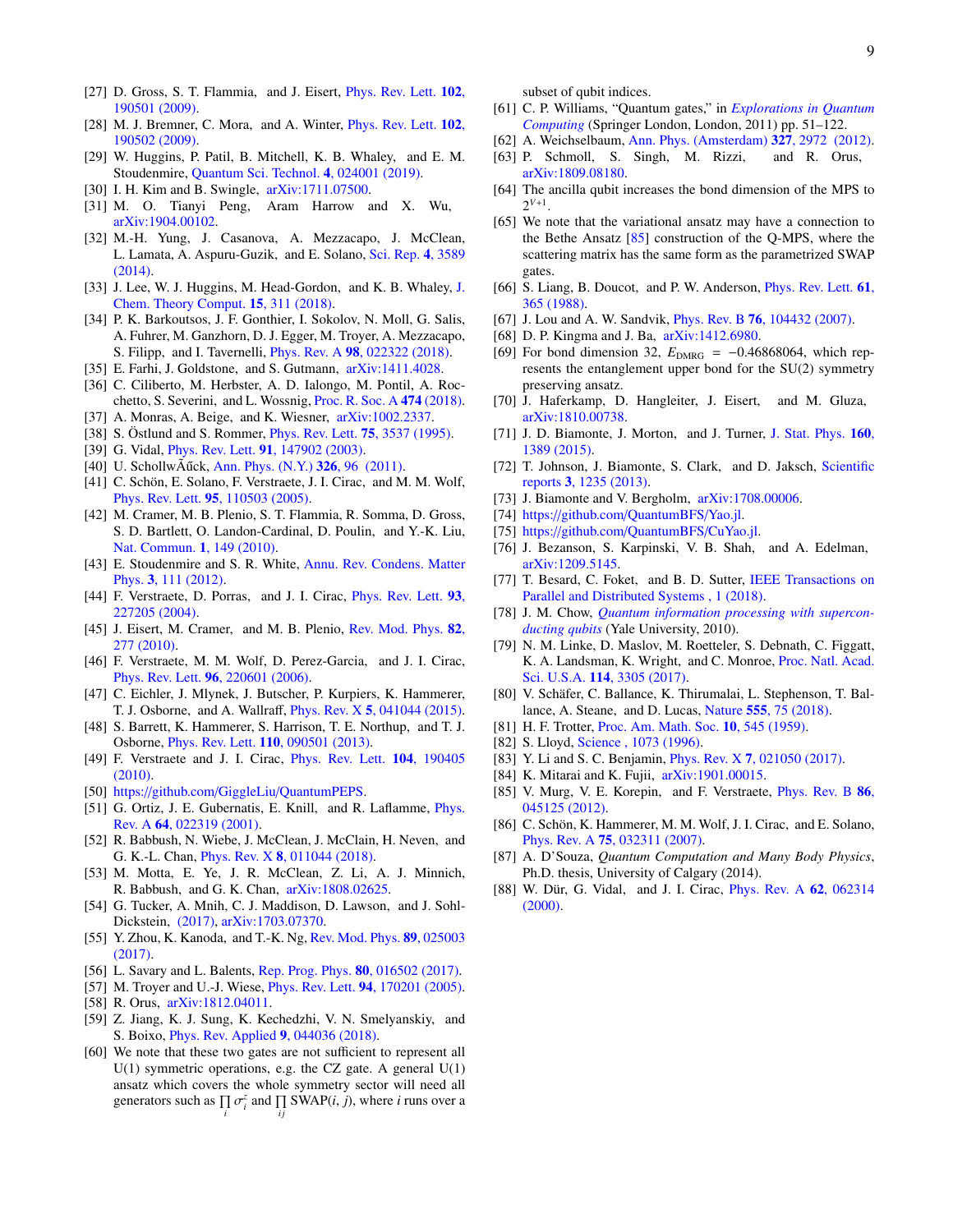- <span id="page-8-0"></span>[27] D. Gross, S. T. Flammia, and J. Eisert, *[Phys. Rev. Lett.](http://dx.doi.org/10.1103/PhysRevLett.102.190501)* 102, [190501 \(2009\).](http://dx.doi.org/10.1103/PhysRevLett.102.190501)
- <span id="page-8-1"></span>[28] M. J. Bremner, C. Mora, and A. Winter, *[Phys. Rev. Lett.](http://dx.doi.org/10.1103/PhysRevLett.102.190502)* **102**, [190502 \(2009\).](http://dx.doi.org/10.1103/PhysRevLett.102.190502)
- <span id="page-8-2"></span>[29] W. Huggins, P. Patil, B. Mitchell, K. B. Whaley, and E. M. Stoudenmire, [Quantum Sci. Technol.](http://stacks.iop.org/2058-9565/4/i=2/a=024001) 4, 024001 (2019).
- [30] I. H. Kim and B. Swingle,  $arXiv:1711.07500$ .
- <span id="page-8-3"></span>[31] M. O. Tianyi Peng, Aram Harrow and X. Wu, [arXiv:1904.00102.](http://arxiv.org/abs/arXiv:1904.00102)
- <span id="page-8-4"></span>[32] M.-H. Yung, J. Casanova, A. Mezzacapo, J. McClean, L. Lamata, A. Aspuru-Guzik, and E. Solano, [Sci. Rep.](https://www.nature.com/articles/srep03589) 4, 3589 [\(2014\).](https://www.nature.com/articles/srep03589)
- [33] [J.](http://dx.doi.org/10.1021/acs.jctc.8b01004) Lee, W. J. Huggins, M. Head-Gordon, and K. B. Whaley, J. [Chem. Theory Comput.](http://dx.doi.org/10.1021/acs.jctc.8b01004) 15, 311 (2018).
- <span id="page-8-5"></span>[34] P. K. Barkoutsos, J. F. Gonthier, I. Sokolov, N. Moll, G. Salis, A. Fuhrer, M. Ganzhorn, D. J. Egger, M. Troyer, A. Mezzacapo, S. Filipp, and I. Tavernelli, Phys. Rev. A 98[, 022322 \(2018\).](http://dx.doi.org/ 10.1103/PhysRevA.98.022322)
- <span id="page-8-6"></span>[35] E. Farhi, J. Goldstone, and S. Gutmann, [arXiv:1411.4028.](http://arxiv.org/abs/arXiv:1411.4028)
- <span id="page-8-7"></span>[36] C. Ciliberto, M. Herbster, A. D. Ialongo, M. Pontil, A. Rocchetto, S. Severini, and L. Wossnig, [Proc. R. Soc. A](http://rspa.royalsocietypublishing.org/content/474/2209/20170551) 474 (2018).
- <span id="page-8-8"></span>[37] A. Monras, A. Beige, and K. Wiesner, [arXiv:1002.2337.](http://arxiv.org/abs/arXiv:1002.2337)
- <span id="page-8-9"></span>[38] S. Östlund and S. Rommer, *[Phys. Rev. Lett.](http://dx.doi.org/10.1103/PhysRevLett.75.3537)* **75**, 3537 (1995).
- <span id="page-8-13"></span>[39] G. Vidal, *Phys. Rev. Lett.* **91**[, 147902 \(2003\).](http://dx.doi.org/10.1103/PhysRevLett.91.147902)
- <span id="page-8-10"></span>[40] U. SchollwAűck, [Ann. Phys. \(N.Y.\)](http://dx.doi.org/10.1016/j.aop.2010.09.012)  $326, 96$  (2011).
- <span id="page-8-11"></span>[41] C. Schön, E. Solano, F. Verstraete, J. I. Cirac, and M. M. Wolf, Phys. Rev. Lett. 95[, 110503 \(2005\).](http://dx.doi.org/ 10.1103/PhysRevLett.95.110503)
- <span id="page-8-12"></span>[42] M. Cramer, M. B. Plenio, S. T. Flammia, R. Somma, D. Gross, S. D. Bartlett, O. Landon-Cardinal, D. Poulin, and Y.-K. Liu, [Nat. Commun.](https://www.nature.com/articles/ncomms1147) 1, 149 (2010).
- <span id="page-8-14"></span>[43] E. Stoudenmire and S. R. White, [Annu. Rev. Condens. Matter](http://dx.doi.org/10.1146/annurev-conmatphys-020911-125018) Phys. 3[, 111 \(2012\).](http://dx.doi.org/10.1146/annurev-conmatphys-020911-125018)
- <span id="page-8-15"></span>[44] F. Verstraete, D. Porras, and J. I. Cirac, *[Phys. Rev. Lett.](http://dx.doi.org/10.1103/PhysRevLett.93.227205)* 93, [227205 \(2004\).](http://dx.doi.org/10.1103/PhysRevLett.93.227205)
- <span id="page-8-16"></span>[45] J. Eisert, M. Cramer, and M. B. Plenio, [Rev. Mod. Phys.](http://dx.doi.org/10.1103/RevModPhys.82.277) 82, [277 \(2010\).](http://dx.doi.org/10.1103/RevModPhys.82.277)
- <span id="page-8-17"></span>[46] F. Verstraete, M. M. Wolf, D. Perez-Garcia, and J. I. Cirac, Phys. Rev. Lett. 96[, 220601 \(2006\).](http://dx.doi.org/10.1103/PhysRevLett.96.220601)
- <span id="page-8-18"></span>[47] C. Eichler, J. Mlynek, J. Butscher, P. Kurpiers, K. Hammerer, T. J. Osborne, and A. Wallraff, Phys. Rev. X 5[, 041044 \(2015\).](http://dx.doi.org/ 10.1103/PhysRevX.5.041044)
- <span id="page-8-19"></span>[48] S. Barrett, K. Hammerer, S. Harrison, T. E. Northup, and T. J. Osborne, Phys. Rev. Lett. 110[, 090501 \(2013\).](http://dx.doi.org/ 10.1103/PhysRevLett.110.090501)
- <span id="page-8-20"></span>[49] F. Verstraete and J. I. Cirac, *[Phys. Rev. Lett.](http://dx.doi.org/10.1103/PhysRevLett.104.190405)* **104**, 190405 [\(2010\).](http://dx.doi.org/10.1103/PhysRevLett.104.190405)
- <span id="page-8-21"></span>[50] https://github.com/GiggleLiu/[QuantumPEPS.](https://github.com/GiggleLiu/QuantumPEPS)
- <span id="page-8-22"></span>[51] G. Ortiz, J. E. Gubernatis, E. Knill, and R. Laflamme, *[Phys.](http://dx.doi.org/10.1103/PhysRevA.64.022319)* Rev. A 64[, 022319 \(2001\).](http://dx.doi.org/10.1103/PhysRevA.64.022319)
- <span id="page-8-23"></span>[52] R. Babbush, N. Wiebe, J. McClean, J. McClain, H. Neven, and G. K.-L. Chan, Phys. Rev. X 8[, 011044 \(2018\).](http://dx.doi.org/ 10.1103/PhysRevX.8.011044)
- <span id="page-8-24"></span>[53] M. Motta, E. Ye, J. R. McClean, Z. Li, A. J. Minnich, R. Babbush, and G. K. Chan, [arXiv:1808.02625.](http://arxiv.org/abs/arXiv:1808.02625)
- <span id="page-8-25"></span>[54] G. Tucker, A. Mnih, C. J. Maddison, D. Lawson, and J. Sohl-Dickstein, [\(2017\),](http://arxiv.org/abs/1703.07370) [arXiv:1703.07370.](http://arxiv.org/abs/1703.07370)
- <span id="page-8-26"></span>[55] Y. Zhou, K. Kanoda, and T.-K. Ng, [Rev. Mod. Phys.](http://dx.doi.org/10.1103/RevModPhys.89.025003) 89, 025003 [\(2017\).](http://dx.doi.org/10.1103/RevModPhys.89.025003)
- <span id="page-8-27"></span>[56] L. Savary and L. Balents, [Rep. Prog. Phys.](http://stacks.iop.org/0034-4885/80/i=1/a=016502) 80, 016502 (2017).
- <span id="page-8-28"></span>[57] M. Troyer and U.-J. Wiese, *Phys. Rev. Lett.* **94**[, 170201 \(2005\).](http://dx.doi.org/10.1103/PhysRevLett.94.170201)
- <span id="page-8-29"></span>[58] R. Orus, [arXiv:1812.04011.](http://arxiv.org/abs/arXiv:1812.04011)
- <span id="page-8-30"></span>[59] Z. Jiang, K. J. Sung, K. Kechedzhi, V. N. Smelyanskiy, and S. Boixo, [Phys. Rev. Applied](http://dx.doi.org/ 10.1103/PhysRevApplied.9.044036) 9, 044036 (2018).
- <span id="page-8-31"></span>[60] We note that these two gates are not sufficient to represent all U(1) symmetric operations, e.g. the CZ gate. A general U(1) ansatz which covers the whole symmetry sector will need all generators such as  $\prod_i \sigma$ *i*  $\sum_{i,j}^{z}$  and  $\prod_{ij}$  SWAP(*i*, *j*), where *i* runs over a *i j*

subset of qubit indices.

- <span id="page-8-32"></span>[61] C. P. Williams, "Quantum gates," in *[Explorations in Quantum](http://dx.doi.org/10.1007/978-1-84628-887-6_2) [Computing](http://dx.doi.org/10.1007/978-1-84628-887-6_2)* (Springer London, London, 2011) pp. 51–122.
- <span id="page-8-33"></span>[62] A. Weichselbaum, [Ann. Phys. \(Amsterdam\)](http://www.sciencedirect.com/science/article/pii/S0003491612001121) 327, 2972 (2012).
- <span id="page-8-34"></span>[63] P. Schmoll, S. Singh, M. Rizzi, and R. Orus, [arXiv:1809.08180.](http://arxiv.org/abs/arXiv:1809.08180)
- <span id="page-8-35"></span>[64] The ancilla qubit increases the bond dimension of the MPS to  $2^{V+1}$ .
- <span id="page-8-36"></span>[65] We note that the variational ansatz may have a connection to the Bethe Ansatz [\[85\]](#page-8-55) construction of the Q-MPS, where the scattering matrix has the same form as the parametrized SWAP gates.
- <span id="page-8-37"></span>[66] S. Liang, B. Doucot, and P. W. Anderson, *[Phys. Rev. Lett.](http://dx.doi.org/10.1103/PhysRevLett.61.365)* **61**, [365 \(1988\).](http://dx.doi.org/10.1103/PhysRevLett.61.365)
- <span id="page-8-38"></span>[67] J. Lou and A. W. Sandvik, Phys. Rev. B 76[, 104432 \(2007\).](http://dx.doi.org/10.1103/PhysRevB.76.104432)
- <span id="page-8-39"></span>[68] D. P. Kingma and J. Ba,  $arXiv:1412.6980$ .
- <span id="page-8-40"></span>[69] For bond dimension 32,  $E_{\text{DMRG}} = -0.46868064$ , which represents the entanglement upper bond for the SU(2) symmetry preserving ansatz.
- <span id="page-8-41"></span>[70] J. Haferkamp, D. Hangleiter, J. Eisert, and M. Gluza, [arXiv:1810.00738.](http://arxiv.org/abs/arXiv:1810.00738)
- <span id="page-8-42"></span>[71] J. D. Biamonte, J. Morton, and J. Turner, [J. Stat. Phys.](http://dx.doi.org/10.1007/s10955-015-1276-z) 160, [1389 \(2015\).](http://dx.doi.org/10.1007/s10955-015-1276-z)
- [72] T. Johnson, J. Biamonte, S. Clark, and D. Jaksch, [Scientific](https://www.nature.com/articles/srep01235) reports 3[, 1235 \(2013\).](https://www.nature.com/articles/srep01235)
- <span id="page-8-43"></span>[73] J. Biamonte and V. Bergholm,  $arXiv:1708.00006$ .
- <span id="page-8-44"></span>[74] https://github.com/[QuantumBFS](https://github.com/QuantumBFS/Yao.jl)/Yao.jl.
- <span id="page-8-45"></span>[75] https://github.com/[QuantumBFS](https://github.com/QuantumBFS/CuYao.jl)/CuYao.jl.
- <span id="page-8-46"></span>[76] J. Bezanson, S. Karpinski, V. B. Shah, and A. Edelman, [arXiv:1209.5145.](http://arxiv.org/abs/arXiv:1209.5145)
- <span id="page-8-47"></span>[77] T. Besard, C. Foket, and B. D. Sutter, [IEEE Transactions on](http://dx.doi.org/10.1109/TPDS.2018.2872064) [Parallel and Distributed Systems , 1 \(2018\).](http://dx.doi.org/10.1109/TPDS.2018.2872064)
- <span id="page-8-48"></span>[78] J. M. Chow, *[Quantum information processing with supercon](https://search.proquest.com/docview/620982890)[ducting qubits](https://search.proquest.com/docview/620982890)* (Yale University, 2010).
- <span id="page-8-49"></span>[79] N. M. Linke, D. Maslov, M. Roetteler, S. Debnath, C. Figgatt, K. A. Landsman, K. Wright, and C. Monroe, [Proc. Natl. Acad.](http://dx.doi.org/10.1073/pnas.1618020114) Sci. U.S.A. 114[, 3305 \(2017\).](http://dx.doi.org/10.1073/pnas.1618020114)
- <span id="page-8-50"></span>[80] V. Schäfer, C. Ballance, K. Thirumalai, L. Stephenson, T. Ballance, A. Steane, and D. Lucas, Nature 555[, 75 \(2018\).](https://www.nature.com/articles/nature25737)
- <span id="page-8-51"></span>[81] H. F. Trotter, *[Proc. Am. Math. Soc.](https://www.jstor.org/stable/2033649)* **10**, 545 (1959).
- <span id="page-8-52"></span>[82] S. Lloyd, Science, 1073 (1996).
- <span id="page-8-53"></span>[83] Y. Li and S. C. Benjamin, *Phys. Rev. X* 7[, 021050 \(2017\).](http://dx.doi.org/10.1103/PhysRevX.7.021050)
- <span id="page-8-54"></span>[84] K. Mitarai and K. Fujii, [arXiv:1901.00015.](http://arxiv.org/abs/arXiv:1901.00015)
- <span id="page-8-55"></span>[85] V. Murg, V. E. Korepin, and F. Verstraete, *[Phys. Rev. B](http://dx.doi.org/10.1103/PhysRevB.86.045125)* 86, [045125 \(2012\).](http://dx.doi.org/10.1103/PhysRevB.86.045125)
- <span id="page-8-56"></span>[86] C. Schön, K. Hammerer, M. M. Wolf, J. I. Cirac, and E. Solano, Phys. Rev. A 75[, 032311 \(2007\).](http://dx.doi.org/ 10.1103/PhysRevA.75.032311)
- <span id="page-8-57"></span>[87] A. D'Souza, *Quantum Computation and Many Body Physics*, Ph.D. thesis, University of Calgary (2014).
- <span id="page-8-58"></span>[88] W. Dür, G. Vidal, and J. I. Cirac, *[Phys. Rev. A](http://dx.doi.org/10.1103/PhysRevA.62.062314)* **62**, 062314 [\(2000\).](http://dx.doi.org/10.1103/PhysRevA.62.062314)